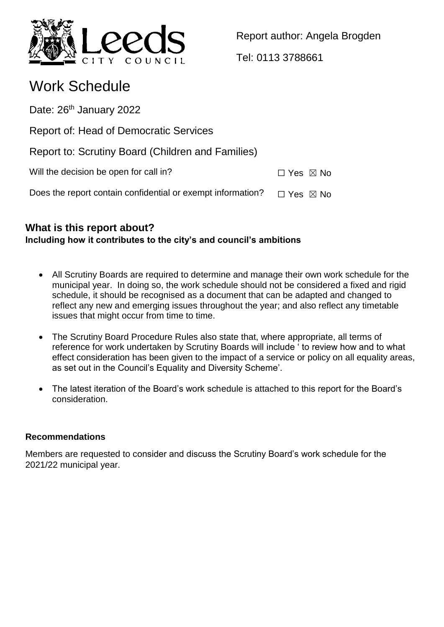

Report author: Angela Brogden

Tel: 0113 3788661

# Work Schedule

Date: 26<sup>th</sup> January 2022

Report of: Head of Democratic Services

Report to: Scrutiny Board (Children and Families)

| Will the decision be open for call in?<br>$\Box$ Yes $\boxtimes$ No |  |  |  |  |
|---------------------------------------------------------------------|--|--|--|--|
|---------------------------------------------------------------------|--|--|--|--|

Does the report contain confidential or exempt information?  $\Box$  Yes  $\boxtimes$  No

## **What is this report about? Including how it contributes to the city's and council's ambitions**

- All Scrutiny Boards are required to determine and manage their own work schedule for the municipal year. In doing so, the work schedule should not be considered a fixed and rigid schedule, it should be recognised as a document that can be adapted and changed to reflect any new and emerging issues throughout the year; and also reflect any timetable issues that might occur from time to time.
- The Scrutiny Board Procedure Rules also state that, where appropriate, all terms of reference for work undertaken by Scrutiny Boards will include ' to review how and to what effect consideration has been given to the impact of a service or policy on all equality areas, as set out in the Council's Equality and Diversity Scheme'.
- The latest iteration of the Board's work schedule is attached to this report for the Board's consideration.

### **Recommendations**

Members are requested to consider and discuss the Scrutiny Board's work schedule for the 2021/22 municipal year.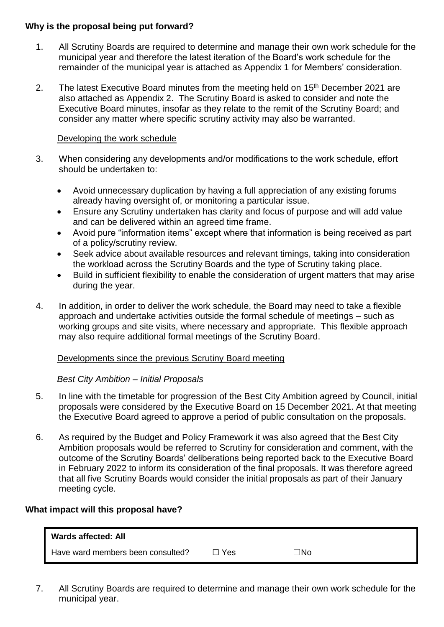#### **Why is the proposal being put forward?**

- 1. All Scrutiny Boards are required to determine and manage their own work schedule for the municipal year and therefore the latest iteration of the Board's work schedule for the remainder of the municipal year is attached as Appendix 1 for Members' consideration.
- 2. The latest Executive Board minutes from the meeting held on  $15<sup>th</sup>$  December 2021 are also attached as Appendix 2. The Scrutiny Board is asked to consider and note the Executive Board minutes, insofar as they relate to the remit of the Scrutiny Board; and consider any matter where specific scrutiny activity may also be warranted.

#### Developing the work schedule

- 3. When considering any developments and/or modifications to the work schedule, effort should be undertaken to:
	- Avoid unnecessary duplication by having a full appreciation of any existing forums already having oversight of, or monitoring a particular issue.
	- Ensure any Scrutiny undertaken has clarity and focus of purpose and will add value and can be delivered within an agreed time frame.
	- Avoid pure "information items" except where that information is being received as part of a policy/scrutiny review.
	- Seek advice about available resources and relevant timings, taking into consideration the workload across the Scrutiny Boards and the type of Scrutiny taking place.
	- Build in sufficient flexibility to enable the consideration of urgent matters that may arise during the year.
- 4. In addition, in order to deliver the work schedule, the Board may need to take a flexible approach and undertake activities outside the formal schedule of meetings – such as working groups and site visits, where necessary and appropriate. This flexible approach may also require additional formal meetings of the Scrutiny Board.

#### Developments since the previous Scrutiny Board meeting

#### *Best City Ambition – Initial Proposals*

- 5. In line with the timetable for progression of the Best City Ambition agreed by Council, initial proposals were considered by the Executive Board on 15 December 2021. At that meeting the Executive Board agreed to approve a period of public consultation on the proposals.
- 6. As required by the Budget and Policy Framework it was also agreed that the Best City Ambition proposals would be referred to Scrutiny for consideration and comment, with the outcome of the Scrutiny Boards' deliberations being reported back to the Executive Board in February 2022 to inform its consideration of the final proposals. It was therefore agreed that all five Scrutiny Boards would consider the initial proposals as part of their January meeting cycle.

#### **What impact will this proposal have?**

| <b>Wards affected: All</b>        |       |     |
|-----------------------------------|-------|-----|
| Have ward members been consulted? | コ Yes | ∃No |

7. All Scrutiny Boards are required to determine and manage their own work schedule for the municipal year.